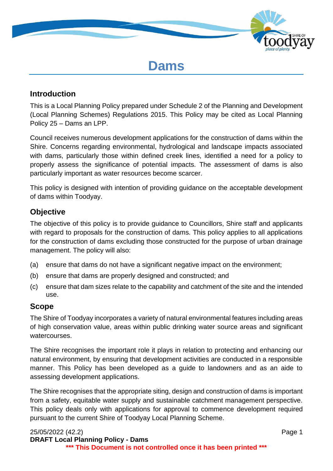

# **Dams**

#### **Introduction**

This is a Local Planning Policy prepared under Schedule 2 of the Planning and Development (Local Planning Schemes) Regulations 2015. This Policy may be cited as Local Planning Policy 25 – Dams an LPP.

Council receives numerous development applications for the construction of dams within the Shire. Concerns regarding environmental, hydrological and landscape impacts associated with dams, particularly those within defined creek lines, identified a need for a policy to properly assess the significance of potential impacts. The assessment of dams is also particularly important as water resources become scarcer.

This policy is designed with intention of providing guidance on the acceptable development of dams within Toodyay.

#### **Objective**

The objective of this policy is to provide guidance to Councillors, Shire staff and applicants with regard to proposals for the construction of dams. This policy applies to all applications for the construction of dams excluding those constructed for the purpose of urban drainage management. The policy will also:

- (a) ensure that dams do not have a significant negative impact on the environment;
- (b) ensure that dams are properly designed and constructed; and
- (c) ensure that dam sizes relate to the capability and catchment of the site and the intended use.

#### **Scope**

The Shire of Toodyay incorporates a variety of natural environmental features including areas of high conservation value, areas within public drinking water source areas and significant watercourses.

The Shire recognises the important role it plays in relation to protecting and enhancing our natural environment, by ensuring that development activities are conducted in a responsible manner. This Policy has been developed as a guide to landowners and as an aide to assessing development applications.

The Shire recognises that the appropriate siting, design and construction of dams is important from a safety, equitable water supply and sustainable catchment management perspective. This policy deals only with applications for approval to commence development required pursuant to the current Shire of Toodyay Local Planning Scheme.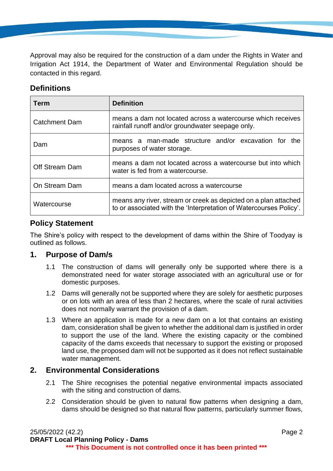Approval may also be required for the construction of a dam under the Rights in Water and Irrigation Act 1914, the Department of Water and Environmental Regulation should be contacted in this regard.

# **Definitions**

| Term                 | <b>Definition</b>                                                                                                                     |  |
|----------------------|---------------------------------------------------------------------------------------------------------------------------------------|--|
| <b>Catchment Dam</b> | means a dam not located across a watercourse which receives<br>rainfall runoff and/or groundwater seepage only.                       |  |
| Dam                  | means a man-made structure and/or excavation for the<br>purposes of water storage.                                                    |  |
| Off Stream Dam       | means a dam not located across a watercourse but into which<br>water is fed from a watercourse.                                       |  |
| On Stream Dam        | means a dam located across a watercourse                                                                                              |  |
| Watercourse          | means any river, stream or creek as depicted on a plan attached<br>to or associated with the 'Interpretation of Watercourses Policy'. |  |

# **Policy Statement**

The Shire's policy with respect to the development of dams within the Shire of Toodyay is outlined as follows.

#### **1. Purpose of Dam/s**

- 1.1 The construction of dams will generally only be supported where there is a demonstrated need for water storage associated with an agricultural use or for domestic purposes.
- 1.2 Dams will generally not be supported where they are solely for aesthetic purposes or on lots with an area of less than 2 hectares, where the scale of rural activities does not normally warrant the provision of a dam.
- 1.3 Where an application is made for a new dam on a lot that contains an existing dam, consideration shall be given to whether the additional dam is justified in order to support the use of the land. Where the existing capacity or the combined capacity of the dams exceeds that necessary to support the existing or proposed land use, the proposed dam will not be supported as it does not reflect sustainable water management.

# **2. Environmental Considerations**

- 2.1 The Shire recognises the potential negative environmental impacts associated with the siting and construction of dams.
- 2.2 Consideration should be given to natural flow patterns when designing a dam, dams should be designed so that natural flow patterns, particularly summer flows,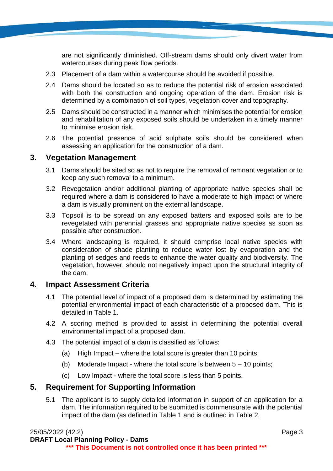are not significantly diminished. Off-stream dams should only divert water from watercourses during peak flow periods.

- 2.3 Placement of a dam within a watercourse should be avoided if possible.
- 2.4 Dams should be located so as to reduce the potential risk of erosion associated with both the construction and ongoing operation of the dam. Erosion risk is determined by a combination of soil types, vegetation cover and topography.
- 2.5 Dams should be constructed in a manner which minimises the potential for erosion and rehabilitation of any exposed soils should be undertaken in a timely manner to minimise erosion risk.
- 2.6 The potential presence of acid sulphate soils should be considered when assessing an application for the construction of a dam.

#### **3. Vegetation Management**

- 3.1 Dams should be sited so as not to require the removal of remnant vegetation or to keep any such removal to a minimum.
- 3.2 Revegetation and/or additional planting of appropriate native species shall be required where a dam is considered to have a moderate to high impact or where a dam is visually prominent on the external landscape.
- 3.3 Topsoil is to be spread on any exposed batters and exposed soils are to be revegetated with perennial grasses and appropriate native species as soon as possible after construction.
- 3.4 Where landscaping is required, it should comprise local native species with consideration of shade planting to reduce water lost by evaporation and the planting of sedges and reeds to enhance the water quality and biodiversity. The vegetation, however, should not negatively impact upon the structural integrity of the dam.

#### **4. Impact Assessment Criteria**

- 4.1 The potential level of impact of a proposed dam is determined by estimating the potential environmental impact of each characteristic of a proposed dam. This is detailed in Table 1.
- 4.2 A scoring method is provided to assist in determining the potential overall environmental impact of a proposed dam.
- 4.3 The potential impact of a dam is classified as follows:
	- (a) High Impact where the total score is greater than 10 points;
	- (b) Moderate Impact where the total score is between  $5 10$  points:
	- (c) Low Impact where the total score is less than 5 points.

#### **5. Requirement for Supporting Information**

5.1 The applicant is to supply detailed information in support of an application for a dam. The information required to be submitted is commensurate with the potential impact of the dam (as defined in Table 1 and is outlined in Table 2.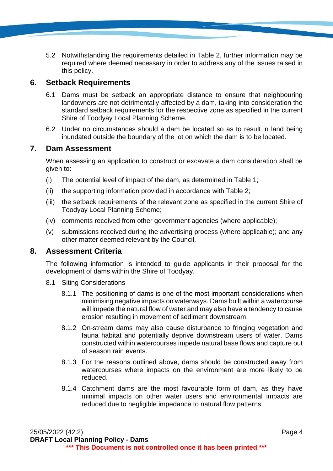5.2 Notwithstanding the requirements detailed in Table 2, further information may be required where deemed necessary in order to address any of the issues raised in this policy.

#### **6. Setback Requirements**

- 6.1 Dams must be setback an appropriate distance to ensure that neighbouring landowners are not detrimentally affected by a dam, taking into consideration the standard setback requirements for the respective zone as specified in the current Shire of Toodyay Local Planning Scheme.
- 6.2 Under no circumstances should a dam be located so as to result in land being inundated outside the boundary of the lot on which the dam is to be located.

#### **7. Dam Assessment**

When assessing an application to construct or excavate a dam consideration shall be given to:

- (i) The potential level of impact of the dam, as determined in Table 1;
- (ii) the supporting information provided in accordance with Table 2;
- (iii) the setback requirements of the relevant zone as specified in the current Shire of Toodyay Local Planning Scheme;
- (iv) comments received from other government agencies (where applicable);
- (v) submissions received during the advertising process (where applicable); and any other matter deemed relevant by the Council.

#### **8. Assessment Criteria**

The following information is intended to guide applicants in their proposal for the development of dams within the Shire of Toodyay.

- 8.1 Siting Considerations
	- 8.1.1 The positioning of dams is one of the most important considerations when minimising negative impacts on waterways. Dams built within a watercourse will impede the natural flow of water and may also have a tendency to cause erosion resulting in movement of sediment downstream.
	- 8.1.2 On-stream dams may also cause disturbance to fringing vegetation and fauna habitat and potentially deprive downstream users of water. Dams constructed within watercourses impede natural base flows and capture out of season rain events.
	- 8.1.3 For the reasons outlined above, dams should be constructed away from watercourses where impacts on the environment are more likely to be reduced.
	- 8.1.4 Catchment dams are the most favourable form of dam, as they have minimal impacts on other water users and environmental impacts are reduced due to negligible impedance to natural flow patterns.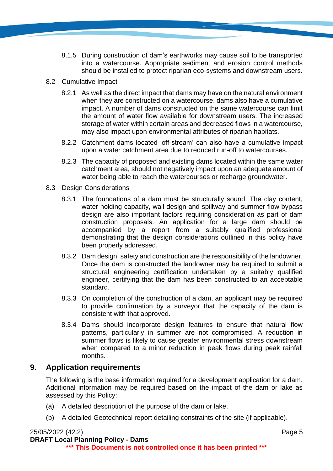- 8.1.5 During construction of dam's earthworks may cause soil to be transported into a watercourse. Appropriate sediment and erosion control methods should be installed to protect riparian eco-systems and downstream users.
- 8.2 Cumulative Impact
	- 8.2.1 As well as the direct impact that dams may have on the natural environment when they are constructed on a watercourse, dams also have a cumulative impact. A number of dams constructed on the same watercourse can limit the amount of water flow available for downstream users. The increased storage of water within certain areas and decreased flows in a watercourse, may also impact upon environmental attributes of riparian habitats.
	- 8.2.2 Catchment dams located 'off-stream' can also have a cumulative impact upon a water catchment area due to reduced run-off to watercourses.
	- 8.2.3 The capacity of proposed and existing dams located within the same water catchment area, should not negatively impact upon an adequate amount of water being able to reach the watercourses or recharge groundwater.
- 8.3 Design Considerations
	- 8.3.1 The foundations of a dam must be structurally sound. The clay content, water holding capacity, wall design and spillway and summer flow bypass design are also important factors requiring consideration as part of dam construction proposals. An application for a large dam should be accompanied by a report from a suitably qualified professional demonstrating that the design considerations outlined in this policy have been properly addressed.
	- 8.3.2 Dam design, safety and construction are the responsibility of the landowner. Once the dam is constructed the landowner may be required to submit a structural engineering certification undertaken by a suitably qualified engineer, certifying that the dam has been constructed to an acceptable standard.
	- 8.3.3 On completion of the construction of a dam, an applicant may be required to provide confirmation by a surveyor that the capacity of the dam is consistent with that approved.
	- 8.3.4 Dams should incorporate design features to ensure that natural flow patterns, particularly in summer are not compromised. A reduction in summer flows is likely to cause greater environmental stress downstream when compared to a minor reduction in peak flows during peak rainfall months.

# **9. Application requirements**

The following is the base information required for a development application for a dam. Additional information may be required based on the impact of the dam or lake as assessed by this Policy:

- (a) A detailed description of the purpose of the dam or lake.
- (b) A detailed Geotechnical report detailing constraints of the site (if applicable).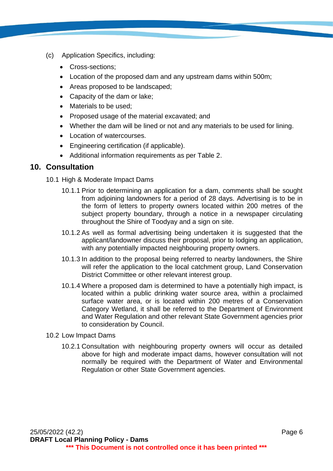- (c) Application Specifics, including:
	- Cross-sections:
	- Location of the proposed dam and any upstream dams within 500m;
	- Areas proposed to be landscaped;
	- Capacity of the dam or lake;
	- Materials to be used;
	- Proposed usage of the material excavated; and
	- Whether the dam will be lined or not and any materials to be used for lining.
	- Location of watercourses.
	- Engineering certification (if applicable).
	- Additional information requirements as per Table 2.

#### **10. Consultation**

- 10.1 High & Moderate Impact Dams
	- 10.1.1 Prior to determining an application for a dam, comments shall be sought from adjoining landowners for a period of 28 days. Advertising is to be in the form of letters to property owners located within 200 metres of the subject property boundary, through a notice in a newspaper circulating throughout the Shire of Toodyay and a sign on site.
	- 10.1.2 As well as formal advertising being undertaken it is suggested that the applicant/landowner discuss their proposal, prior to lodging an application, with any potentially impacted neighbouring property owners.
	- 10.1.3 In addition to the proposal being referred to nearby landowners, the Shire will refer the application to the local catchment group, Land Conservation District Committee or other relevant interest group.
	- 10.1.4 Where a proposed dam is determined to have a potentially high impact, is located within a public drinking water source area, within a proclaimed surface water area, or is located within 200 metres of a Conservation Category Wetland, it shall be referred to the Department of Environment and Water Regulation and other relevant State Government agencies prior to consideration by Council.
- 10.2 Low Impact Dams
	- 10.2.1 Consultation with neighbouring property owners will occur as detailed above for high and moderate impact dams, however consultation will not normally be required with the Department of Water and Environmental Regulation or other State Government agencies.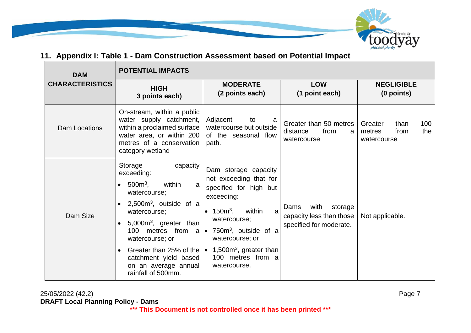

# **11. Appendix I: Table 1 - Dam Construction Assessment based on Potential Impact**

| <b>DAM</b>             | <b>POTENTIAL IMPACTS</b>                                                                                                                                                                                                                                                                                    |                                                                                                                                                                                                                                                                                                                                |                                                                                |                                                                |
|------------------------|-------------------------------------------------------------------------------------------------------------------------------------------------------------------------------------------------------------------------------------------------------------------------------------------------------------|--------------------------------------------------------------------------------------------------------------------------------------------------------------------------------------------------------------------------------------------------------------------------------------------------------------------------------|--------------------------------------------------------------------------------|----------------------------------------------------------------|
| <b>CHARACTERISTICS</b> | <b>HIGH</b><br>3 points each)                                                                                                                                                                                                                                                                               | <b>MODERATE</b><br>(2 points each)                                                                                                                                                                                                                                                                                             | <b>LOW</b><br>(1 point each)                                                   | <b>NEGLIGIBLE</b><br>(0 points)                                |
| Dam Locations          | On-stream, within a public<br>water supply catchment,<br>within a proclaimed surface<br>water area, or within 200<br>metres of a conservation<br>category wetland                                                                                                                                           | Adjacent<br>to<br>a<br>watercourse but outside<br>of the seasonal flow<br>path.                                                                                                                                                                                                                                                | Greater than 50 metres<br>distance<br>from<br>a<br>watercourse                 | 100<br>Greater<br>than<br>metres<br>from<br>the<br>watercourse |
| Dam Size               | capacity<br>Storage<br>exceeding:<br>$500m3$ ,<br>within<br>$\bullet$<br>a<br>watercourse;<br>$2,500m3$ , outside of a<br>$\bullet$<br>watercourse;<br>5,000 $m3$ , greater than<br>$\bullet$<br>100<br>watercourse; or<br>$\bullet$<br>catchment yield based<br>on an average annual<br>rainfall of 500mm. | Dam storage capacity<br>not exceeding that for<br>specified for high but<br>exceeding:<br>• $150m^3$ ,<br>within<br>a<br>watercourse;<br>metres from $a \mid \bullet$ 750 $m^3$ , outside of a<br>watercourse; or<br>Greater than 25% of the $\bullet$ 1,500m <sup>3</sup> , greater than<br>100 metres from a<br>watercourse. | with<br>storage<br>Dams<br>capacity less than those<br>specified for moderate. | Not applicable.                                                |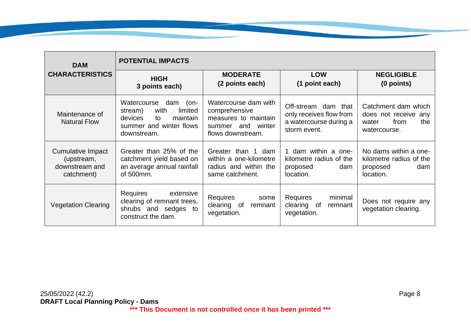| <b>DAM</b>                                                      | <b>POTENTIAL IMPACTS</b>                                                                                                          |                                                                                                            |                                                                                          |                                                                                     |
|-----------------------------------------------------------------|-----------------------------------------------------------------------------------------------------------------------------------|------------------------------------------------------------------------------------------------------------|------------------------------------------------------------------------------------------|-------------------------------------------------------------------------------------|
| <b>CHARACTERISTICS</b>                                          | <b>HIGH</b><br>3 points each)                                                                                                     | <b>MODERATE</b><br>(2 points each)                                                                         | <b>LOW</b><br>(1 point each)                                                             | <b>NEGLIGIBLE</b><br>(0 points)                                                     |
| Maintenance of<br><b>Natural Flow</b>                           | Watercourse<br>dam<br>$(on-$<br>with<br>limited<br>stream)<br>maintain<br>devices<br>to<br>summer and winter flows<br>downstream. | Watercourse dam with<br>comprehensive<br>measures to maintain<br>and winter<br>summer<br>flows downstream. | Off-stream dam that<br>only receives flow from<br>a watercourse during a<br>storm event. | Catchment dam which<br>does not receive any<br>from<br>the<br>water<br>watercourse. |
| Cumulative Impact<br>(upstream,<br>downstream and<br>catchment) | Greater than 25% of the<br>catchment yield based on<br>an average annual rainfall<br>of 500mm.                                    | Greater than 1 dam<br>within a one-kilometre<br>radius and within the<br>same catchment.                   | dam within a one-<br>kilometre radius of the<br>proposed<br>dam<br>location.             | No dams within a one-<br>kilometre radius of the<br>proposed<br>dam<br>location.    |
| <b>Vegetation Clearing</b>                                      | Requires<br>extensive<br>clearing of remnant trees,<br>shrubs and sedges to<br>construct the dam.                                 | <b>Requires</b><br>some<br>clearing of<br>remnant<br>vegetation.                                           | <b>Requires</b><br>minimal<br>clearing of<br>remnant<br>vegetation.                      | Does not require any<br>vegetation clearing.                                        |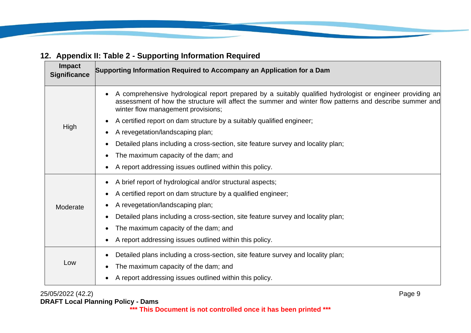# **Impact Supporting Information Required to Accompany an Application for a Dam**<br>Significance High • A comprehensive hydrological report prepared by a suitably qualified hydrologist or engineer providing an assessment of how the structure will affect the summer and winter flow patterns and describe summer and winter flow management provisions; • A certified report on dam structure by a suitably qualified engineer; • A revegetation/landscaping plan; • Detailed plans including a cross-section, site feature survey and locality plan; The maximum capacity of the dam; and • A report addressing issues outlined within this policy. Moderate • A brief report of hydrological and/or structural aspects; • A certified report on dam structure by a qualified engineer; • A revegetation/landscaping plan; • Detailed plans including a cross-section, site feature survey and locality plan; The maximum capacity of the dam; and • A report addressing issues outlined within this policy. Low • Detailed plans including a cross-section, site feature survey and locality plan; The maximum capacity of the dam; and • A report addressing issues outlined within this policy.

# **12. Appendix II: Table 2 - Supporting Information Required**

25/05/2022 (42.2) Page 9 **DRAFT Local Planning Policy - Dams**

**\*\*\* This Document is not controlled once it has been printed \*\*\***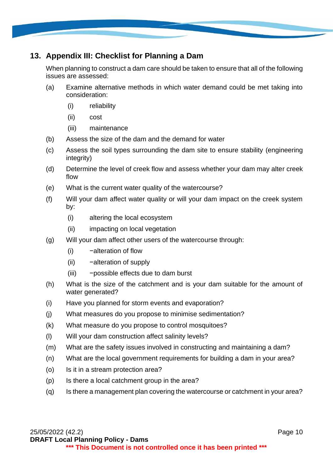# **13. Appendix III: Checklist for Planning a Dam**

When planning to construct a dam care should be taken to ensure that all of the following issues are assessed:

- (a) Examine alternative methods in which water demand could be met taking into consideration:
	- (i) reliability
	- (ii) cost
	- (iii) maintenance
- (b) Assess the size of the dam and the demand for water
- (c) Assess the soil types surrounding the dam site to ensure stability (engineering integrity)
- (d) Determine the level of creek flow and assess whether your dam may alter creek flow
- (e) What is the current water quality of the watercourse?
- (f) Will your dam affect water quality or will your dam impact on the creek system by:
	- (i) altering the local ecosystem
	- (ii) impacting on local vegetation
- (g) Will your dam affect other users of the watercourse through:
	- (i) −alteration of flow
	- (ii) −alteration of supply
	- (iii) −possible effects due to dam burst
- (h) What is the size of the catchment and is your dam suitable for the amount of water generated?
- (i) Have you planned for storm events and evaporation?
- (j) What measures do you propose to minimise sedimentation?
- (k) What measure do you propose to control mosquitoes?
- (l) Will your dam construction affect salinity levels?
- (m) What are the safety issues involved in constructing and maintaining a dam?
- (n) What are the local government requirements for building a dam in your area?
- (o) Is it in a stream protection area?
- (p) Is there a local catchment group in the area?
- (q) Is there a management plan covering the watercourse or catchment in your area?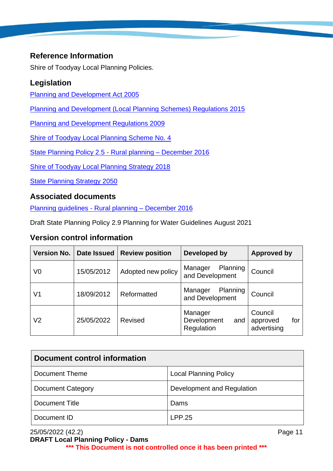# **Reference Information**

Shire of Toodyay Local Planning Policies.

# **Legislation**

[Planning and Development Act 2005](http://www7.austlii.edu.au/cgi-bin/viewdb/au/legis/wa/consol_act/pada2005236/)

[Planning and Development \(Local Planning Schemes\) Regulations 2015](http://classic.austlii.edu.au/au/legis/wa/consol_reg/padpsr2015527/s22.html)

[Planning and Development Regulations 2009](http://www5.austlii.edu.au/au/legis/wa/consol_reg/padr2009345/sch2.html)

[Shire of Toodyay Local Planning Scheme No. 4](https://www.wa.gov.au/government/document-collections/shire-of-toodyay-planning-information)

[State Planning Policy 2.5 -](https://www.wa.gov.au/government/publications/state-planning-policy-25-rural-planning) Rural planning – December 2016

[Shire of Toodyay Local Planning Strategy 2018](https://www.wa.gov.au/government/document-collections/shire-of-toodyay-planning-information)

[State Planning Strategy 2050](https://www.wa.gov.au/government/publications/state-planning-strategy-2050)

#### **Associated documents**

[Planning guidelines -](https://www.wa.gov.au/government/publications/planning-guidelines-rural-planning) Rural planning – December 2016

Draft State Planning Policy 2.9 Planning for Water Guidelines August 2021

# **Version control information**

| Version No. | Date Issued | <b>Review position</b> | <b>Developed by</b>                         | <b>Approved by</b>                        |
|-------------|-------------|------------------------|---------------------------------------------|-------------------------------------------|
| V0          | 15/05/2012  | Adopted new policy     | Planning<br>Manager<br>and Development      | Council                                   |
| V1          | 18/09/2012  | Reformatted            | Planning<br>Manager<br>and Development      | Council                                   |
| V2          | 25/05/2022  | <b>Revised</b>         | Manager<br>Development<br>and<br>Regulation | Council<br>for<br>approved<br>advertising |

| Document control information |                              |  |
|------------------------------|------------------------------|--|
| Document Theme               | <b>Local Planning Policy</b> |  |
| <b>Document Category</b>     | Development and Regulation   |  |
| Document Title               | Dams                         |  |
| Document ID                  | LPP.25                       |  |